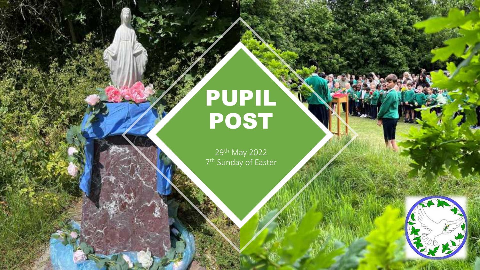# PUPIL POST

29th May 2022 7<sup>th</sup> Sunday of Easter

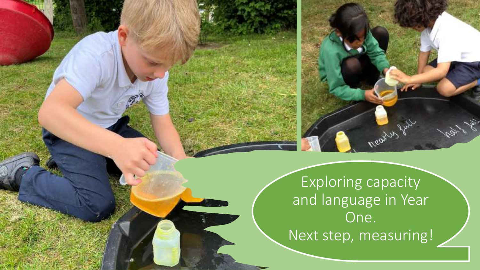

nearty full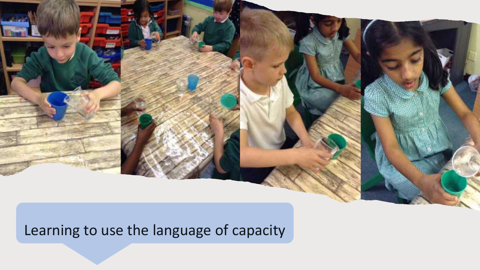Learning to use the language of capacity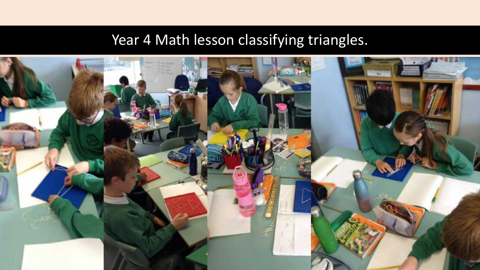## Year 4 Math lesson classifying triangles.

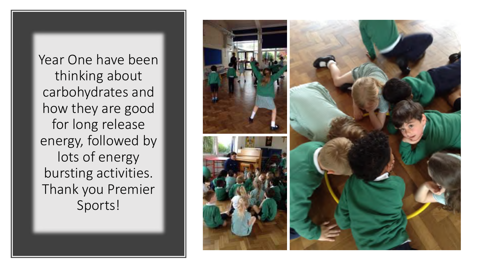Year One have been thinking about carbohydrates and how they are good for long release energy, followed by lots of energy bursting activities. Thank you Premier Sports!

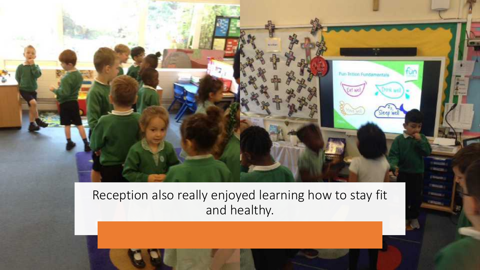

Reception also really enjoyed learning how to stay fit and healthy.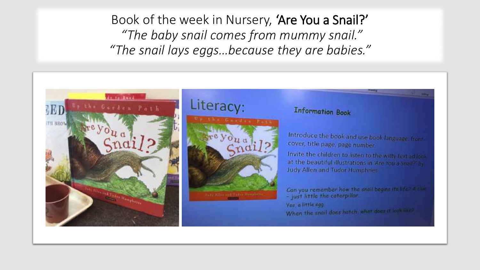Book of the week in Nursery, 'Are You a Snail?' *"The baby snail comes from mummy snail." "The snail lays eggs…because they are babies."*



### Literacy:



#### **Information Book**

Introduce the book and use book language, frontcover, title page, page number.

Invite the children to listen to the witty featural lock at the beautiful illustrations in Are You a Sharf? by Judy Allen and Tudor Humphries

Can you remember how the snall begins its life? A clue - just little the caterpillar. Vas, a little egg When the snail does hatch, what does it look like?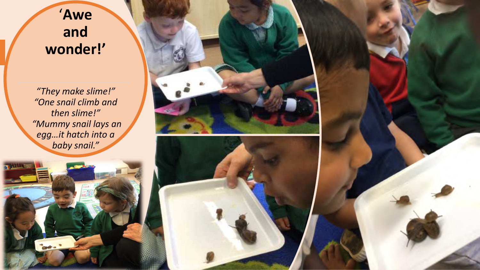### '**Awe and wonder!'**

*"They make slime!" "One snail climb and then slime!" "Mummy snail lays an egg…it hatch into a baby snail."* 



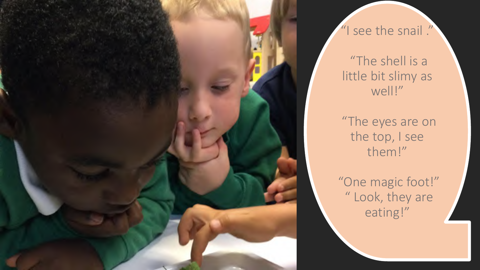

### "I see the snail ."

"The shell is a little bit slimy as well!"

"The eyes are on the top, I see them!"

"One magic foot!" " Look, they are eating!"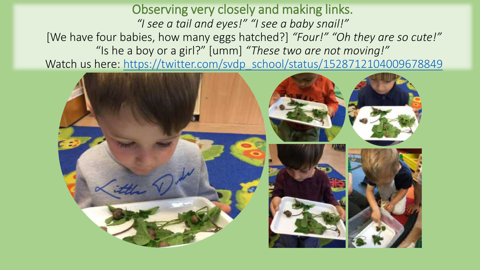Observing very closely and making links. *"I see a tail and eyes!" "I see a baby snail!"* [We have four babies, how many eggs hatched?] *"Four!" "Oh they are so cute!"* "Is he a boy or a girl?" [umm] *"These two are not moving!"* Watch us here: https://twitter.com/svdp school/status/1528712104009678849

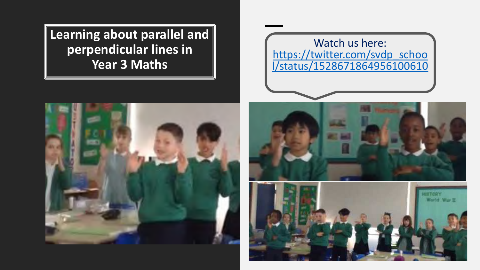**Learning about parallel and perpendicular lines in Year 3 Maths**

### Watch us here: [https://twitter.com/svdp\\_schoo](https://twitter.com/svdp_school/status/1528671864956100610) l/status/1528671864956100610





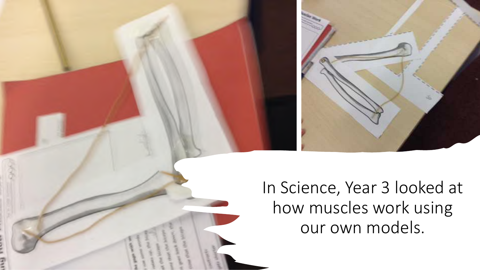

In Science, Year 3 looked at how muscles work using our own models.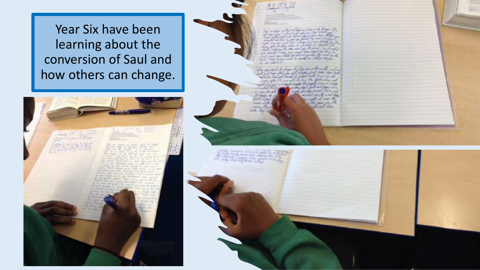Year Six have been learning about the conversion of Saul and how others can change.



stapi Simonic And pick and As well<br>Mill Acupy all and Again also All any Trustee and Trustee and

Set out in mile in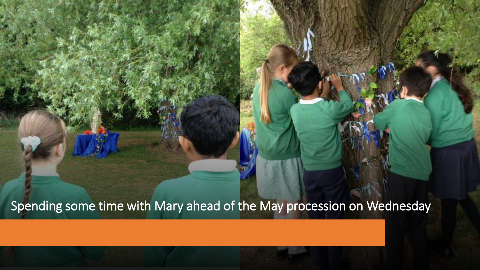Spending some time with Mary ahead of the May procession on Wednesday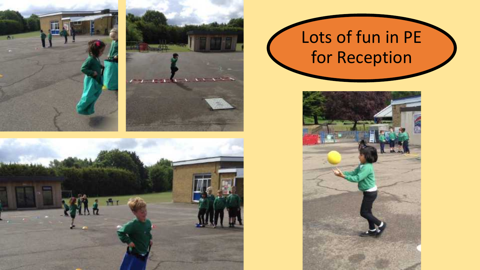





# Lots of fun in PE for Reception